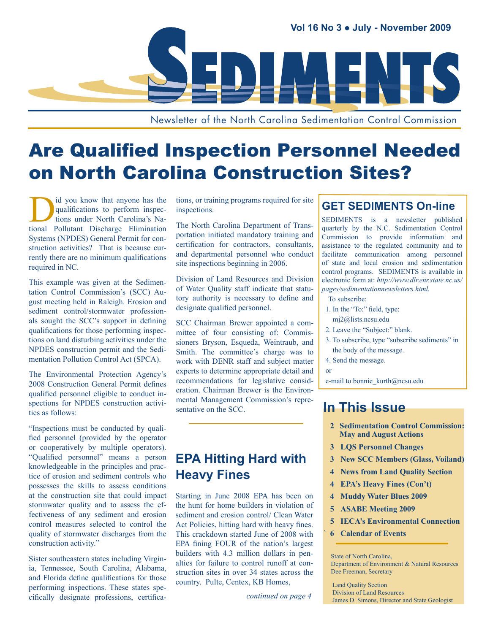

Newsletter of the North Carolina Sedimentation Control Commission

# Are Qualified Inspection Personnel Needed on North Carolina Construction Sites?

id you know that anyone has the<br>qualifications to perform inspec-<br>tions under North Carolina's Na-<br>tional Pollutant Discharge Elimination qualifications to perform inspections under North Carolina's National Pollutant Discharge Elimination Systems (NPDES) General Permit for construction activities? That is because currently there are no minimum qualifications required in NC.

This example was given at the Sedimentation Control Commission's (SCC) August meeting held in Raleigh. Erosion and sediment control/stormwater professionals sought the SCC's support in defining qualifications for those performing inspections on land disturbing activities under the NPDES construction permit and the Sedimentation Pollution Control Act (SPCA).

The Environmental Protection Agency's 2008 Construction General Permit defines qualified personnel eligible to conduct inspections for NPDES construction activities as follows:

"Inspections must be conducted by qualified personnel (provided by the operator or cooperatively by multiple operators). "Qualified personnel" means a person knowledgeable in the principles and practice of erosion and sediment controls who possesses the skills to assess conditions at the construction site that could impact stormwater quality and to assess the effectiveness of any sediment and erosion control measures selected to control the quality of stormwater discharges from the construction activity."

Sister southeastern states including Virginia, Tennessee, South Carolina, Alabama, and Florida define qualifications for those performing inspections. These states specifically designate professions, certifications, or training programs required for site inspections.

The North Carolina Department of Transportation initiated mandatory training and certification for contractors, consultants, and departmental personnel who conduct site inspections beginning in 2006.

Division of Land Resources and Division of Water Quality staff indicate that statutory authority is necessary to define and designate qualified personnel.

SCC Chairman Brewer appointed a committee of four consisting of: Commissioners Bryson, Esqueda, Weintraub, and Smith. The committee's charge was to work with DENR staff and subject matter experts to determine appropriate detail and recommendations for legislative consideration. Chairman Brewer is the Environmental Management Commission's representative on the SCC.

## **EPA Hitting Hard with Heavy Fines**

Starting in June 2008 EPA has been on the hunt for home builders in violation of sediment and erosion control/ Clean Water Act Policies, hitting hard with heavy fines. This crackdown started June of 2008 with EPA fining FOUR of the nation's largest builders with 4.3 million dollars in penalties for failure to control runoff at construction sites in over 34 states across the country. Pulte, Centex, KB Homes,

*continued on page 4*

### **GET SEDIMENTS On-line**

SEDIMENTS is a newsletter published quarterly by the N.C. Sedimentation Control Commission to provide information and assistance to the regulated community and to facilitate communication among personnel of state and local erosion and sedimentation control programs. SEDIMENTS is available in electronic form at: *[http://www.dlr.enr.state.nc.us/](http://www.dlr.enr.state.nc.us/pages/sedimentationnewsletters.html) [pages/sedimentationnewsletters.html.](http://www.dlr.enr.state.nc.us/pages/sedimentationnewsletters.html)*

- To subscribe:
- 1. In the "To:" field, type:
- mj2@lists.ncsu.edu
- 2. Leave the "Subject:" blank.
- 3. To subscribe, type "subscribe sediments" in the body of the message.
- 4. Send the message.

or

e-mail to bonnie\_kurth@ncsu.edu

## **In This Issue**

- **2 [Sedimentation Control Commission:](#page-1-0)  [May and August Actions](#page-1-0)**
- **3 [LQS Personnel Changes](#page-2-0)**
- **3 [New SCC Members \(Glass, Voiland\)](#page-2-0)**
- **4 [News from Land Quality Section](#page-3-0)**
- **4 [EPA's Heavy Fines \(Con't\)](#page-3-0)**
- **4 [Muddy Water Blues 2009](#page-3-0)**
- **5 [ASABE Meeting 2009](#page-3-0)**
- **5 [IECA's Environmental Connection](#page-4-0)**
- **` 6 [Calendar of Events](#page-5-0)**

State of North Carolina, Department of Environment & Natural Resources Dee Freeman, Secretary

Land Quality Section Division of Land Resources James D. Simons, Director and State Geologist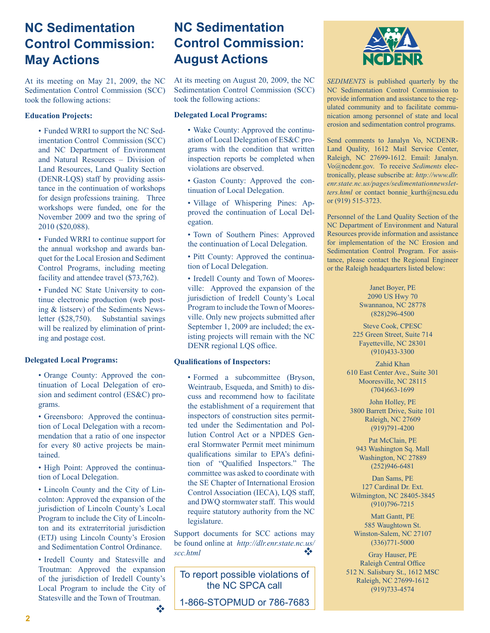## <span id="page-1-0"></span>**NC Sedimentation Control Commission: May Actions**

At its meeting on May 21, 2009, the NC Sedimentation Control Commission (SCC) took the following actions:

#### **Education Projects:**

• Funded WRRI to support the NC Sedimentation Control Commission (SCC) and NC Department of Environment and Natural Resources – Division of Land Resources, Land Quality Section (DENR-LQS) staff by providing assistance in the continuation of workshops for design professions training. Three workshops were funded, one for the November 2009 and two the spring of 2010 (\$20,088).

• Funded WRRI to continue support for the annual workshop and awards banquet for the Local Erosion and Sediment Control Programs, including meeting facility and attendee travel (\$73,762).

• Funded NC State University to continue electronic production (web posting & listserv) of the Sediments Newsletter (\$28,750). Substantial savings will be realized by elimination of printing and postage cost.

#### **Delegated Local Programs:**

• Orange County: Approved the continuation of Local Delegation of erosion and sediment control (ES&C) programs.

• Greensboro: Approved the continuation of Local Delegation with a recommendation that a ratio of one inspector for every 80 active projects be maintained.

• High Point: Approved the continuation of Local Delegation.

• Lincoln County and the City of Lincolnton: Approved the expansion of the jurisdiction of Lincoln County's Local Program to include the City of Lincolnton and its extraterritorial jurisdiction (ETJ) using Lincoln County's Erosion and Sedimentation Control Ordinance.

• Iredell County and Statesville and Troutman: Approved the expansion of the jurisdiction of Iredell County's Local Program to include the City of Statesville and the Town of Troutman.

 $\frac{1}{2}$ 

## **NC Sedimentation Control Commission: August Actions**

At its meeting on August 20, 2009, the NC Sedimentation Control Commission (SCC) took the following actions:

#### **Delegated Local Programs:**

- Wake County: Approved the continuation of Local Delegation of ES&C programs with the condition that written inspection reports be completed when violations are observed.
- Gaston County: Approved the continuation of Local Delegation.
- Village of Whispering Pines: Approved the continuation of Local Delegation.
- Town of Southern Pines: Approved the continuation of Local Delegation.

• Pitt County: Approved the continuation of Local Delegation.

• Iredell County and Town of Mooresville: Approved the expansion of the jurisdiction of Iredell County's Local Program to include the Town of Mooresville. Only new projects submitted after September 1, 2009 are included; the existing projects will remain with the NC DENR regional LQS office.

#### **Qualifications of Inspectors:**

• Formed a subcommittee (Bryson, Weintraub, Esqueda, and Smith) to discuss and recommend how to facilitate the establishment of a requirement that inspectors of construction sites permitted under the Sedimentation and Pollution Control Act or a NPDES General Stormwater Permit meet minimum qualifications similar to EPA's definition of "Qualified Inspectors." The committee was asked to coordinate with the SE Chapter of International Erosion Control Association (IECA), LQS staff, and DWQ stormwater staff. This would require statutory authority from the NC legislature.

Support documents for SCC actions may be found online at *[http://dlr.enr.state.nc.us/](http://dlr.enr.state.nc.us/scc.html) [scc.html](http://dlr.enr.state.nc.us/scc.html)* v<sup>2</sup>

To report possible violations of the NC SPCA call

1-866-STOPMUD or 786-7683



*SEDIMENTS* is published quarterly by the NC Sedimentation Control Commission to provide information and assistance to the regulated community and to facilitate communication among personnel of state and local erosion and sedimentation control programs.

Send comments to Janalyn Vo, NCDENR-Land Quality, 1612 Mail Service Center, Raleigh, NC 27699-1612. Email: Janalyn. Vo@ncdenr.gov. To receive *Sediments* electronically, please subscribe at: *[http://www.dlr.](http://www.dlr.enr.state.nc.us/pages/sedimentationnewsletters.html) [enr.state.nc.us/pages/sedimentationnewslet](http://www.dlr.enr.state.nc.us/pages/sedimentationnewsletters.html)*[ters.html](http://www.dlr.enr.state.nc.us/pages/sedimentationnewsletters.html) or contact bonnie kurth@ncsu.edu or (919) 515-3723.

Personnel of the Land Quality Section of the NC Department of Environment and Natural Resources provide information and assistance for implementation of the NC Erosion and Sedimentation Control Program. For assistance, please contact the Regional Engineer or the Raleigh headquarters listed below:

> Janet Boyer, PE 2090 US Hwy 70 Swannanoa, NC 28778 (828)296-4500

Steve Cook, CPESC 225 Green Street, Suite 714 Fayetteville, NC 28301 (910)433-3300

Zahid Khan 610 East Center Ave., Suite 301 Mooresville, NC 28115 (704)663-1699

John Holley, PE 3800 Barrett Drive, Suite 101 Raleigh, NC 27609 (919)791-4200

Pat McClain, PE 943 Washington Sq. Mall Washington, NC 27889 (252)946-6481

Dan Sams, PE 127 Cardinal Dr. Ext. Wilmington, NC 28405-3845 (910)796-7215

Matt Gantt, PE 585 Waughtown St. Winston-Salem, NC 27107 (336)771-5000

Gray Hauser, PE Raleigh Central Office 512 N. Salisbury St., 1612 MSC Raleigh, NC 27699-1612 (919)733-4574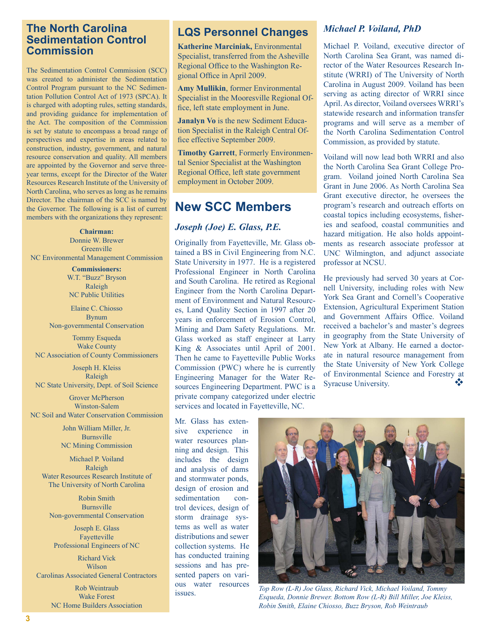### <span id="page-2-0"></span>**The North Carolina Sedimentation Control Commission**

The Sedimentation Control Commission (SCC) was created to administer the Sedimentation Control Program pursuant to the NC Sedimentation Pollution Control Act of 1973 (SPCA). It is charged with adopting rules, setting standards, and providing guidance for implementation of the Act. The composition of the Commission is set by statute to encompass a broad range of perspectives and expertise in areas related to construction, industry, government, and natural resource conservation and quality. All members are appointed by the Governor and serve threeyear terms, except for the Director of the Water Resources Research Institute of the University of North Carolina, who serves as long as he remains Director. The chairman of the SCC is named by the Governor. The following is a list of current members with the organizations they represent:

**Chairman:** Donnie W. Brewer **Greenville** NC Environmental Management Commission

> **Commissioners:** W.T. "Buzz" Bryson Raleigh NC Public Utilities

Elaine C. Chiosso Bynum Non-governmental Conservation

Tommy Esqueda Wake County NC Association of County Commissioners

Joseph H. Kleiss Raleigh NC State University, Dept. of Soil Science

Grover McPherson Winston-Salem NC Soil and Water Conservation Commission

> John William Miller, Jr. Burnsville NC Mining Commission

Michael P. Voiland Raleigh Water Resources Research Institute of The University of North Carolina

Robin Smith Burnsville Non-governmental Conservation

Joseph E. Glass Fayetteville Professional Engineers of NC

Richard Vick Wilson Carolinas Associated General Contractors

> Rob Weintraub Wake Forest NC Home Builders Association

### **LQS Personnel Changes**

**Katherine Marciniak,** Environmental Specialist, transferred from the Asheville Regional Office to the Washington Regional Office in April 2009.

**Amy Mullikin**, former Environmental Specialist in the Mooresville Regional Office, left state employment in June.

**Janalyn Vo** is the new Sediment Education Specialist in the Raleigh Central Office effective September 2009.

**Timothy Garrett**, Formerly Environmental Senior Specialist at the Washington Regional Office, left state government employment in October 2009.

### **New SCC Members**

### *Joseph (Joe) E. Glass, P.E.*

Originally from Fayetteville, Mr. Glass obtained a BS in Civil Engineering from N.C. State University in 1977. He is a registered Professional Engineer in North Carolina and South Carolina. He retired as Regional Engineer from the North Carolina Department of Environment and Natural Resources, Land Quality Section in 1997 after 20 years in enforcement of Erosion Control, Mining and Dam Safety Regulations. Mr. Glass worked as staff engineer at Larry King & Associates until April of 2001. Then he came to Fayetteville Public Works Commission (PWC) where he is currently Engineering Manager for the Water Resources Engineering Department. PWC is a private company categorized under electric services and located in Fayetteville, NC.

Mr. Glass has extensive experience in water resources planning and design. This includes the design and analysis of dams and stormwater ponds, design of erosion and sedimentation control devices, design of storm drainage systems as well as water distributions and sewer collection systems. He has conducted training sessions and has presented papers on various water resources issues.

### *Michael P. Voiland, PhD*

Michael P. Voiland, executive director of North Carolina Sea Grant, was named director of the Water Resources Research Institute (WRRI) of The University of North Carolina in August 2009. Voiland has been serving as acting director of WRRI since April. As director, Voiland oversees WRRI's statewide research and information transfer programs and will serve as a member of the North Carolina Sedimentation Control Commission, as provided by statute.

Voiland will now lead both WRRI and also the North Carolina Sea Grant College Program. Voiland joined North Carolina Sea Grant in June 2006. As North Carolina Sea Grant executive director, he oversees the program's research and outreach efforts on coastal topics including ecosystems, fisheries and seafood, coastal communities and hazard mitigation. He also holds appointments as research associate professor at UNC Wilmington, and adjunct associate professor at NCSU.

He previously had served 30 years at Cornell University, including roles with New York Sea Grant and Cornell's Cooperative Extension, Agricultural Experiment Station and Government Affairs Office. Voiland received a bachelor's and master's degrees in geography from the State University of New York at Albany. He earned a doctorate in natural resource management from the State University of New York College of Environmental Science and Forestry at Syracuse University.



*Top Row (L-R) Joe Glass, Richard Vick, Michael Voiland, Tommy Esqueda, Donnie Brewer. Bottom Row (L-R) Bill Miller, Joe Kleiss, Robin Smith, Elaine Chiosso, Buzz Bryson, Rob Weintraub*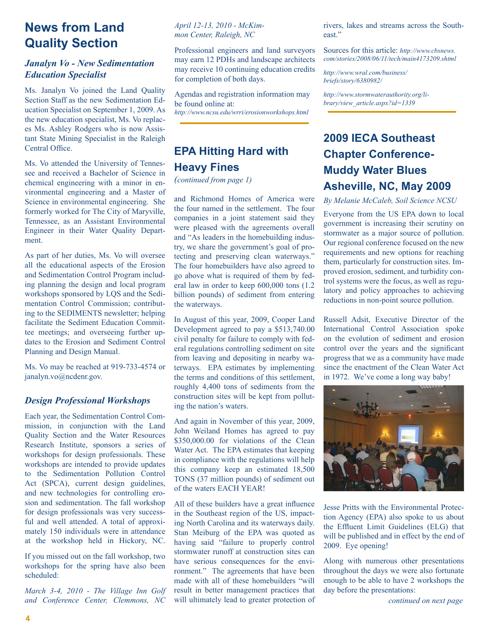## <span id="page-3-0"></span>**News from Land Quality Section**

### *Janalyn Vo - New Sedimentation Education Specialist*

Ms. Janalyn Vo joined the Land Quality Section Staff as the new Sedimentation Education Specialist on September 1, 2009. As the new education specialist, Ms. Vo replaces Ms. Ashley Rodgers who is now Assistant State Mining Specialist in the Raleigh Central Office.

Ms. Vo attended the University of Tennessee and received a Bachelor of Science in chemical engineering with a minor in environmental engineering and a Master of Science in environmental engineering. She formerly worked for The City of Maryville, Tennessee, as an Assistant Environmental Engineer in their Water Quality Department.

As part of her duties, Ms. Vo will oversee all the educational aspects of the Erosion and Sedimentation Control Program including planning the design and local program workshops sponsored by LQS and the Sedimentation Control Commission; contributing to the SEDIMENTS newsletter; helping facilitate the Sediment Education Committee meetings; and overseeing further updates to the Erosion and Sediment Control Planning and Design Manual.

Ms. Vo may be reached at 919-733-4574 or janalyn.vo@ncdenr.gov.

#### *Design Professional Workshops*

Each year, the Sedimentation Control Commission, in conjunction with the Land Quality Section and the Water Resources Research Institute, sponsors a series of workshops for design professionals. These workshops are intended to provide updates to the Sedimentation Pollution Control Act (SPCA), current design guidelines, and new technologies for controlling erosion and sedimentation. The fall workshop for design professionals was very successful and well attended. A total of approximately 150 individuals were in attendance at the workshop held in Hickory, NC.

If you missed out on the fall workshop, two workshops for the spring have also been scheduled:

*March 3-4, 2010 - The Village Inn Golf and Conference Center, Clemmons, NC*

*April 12-13, 2010 - McKimmon Center, Raleigh, NC*

Professional engineers and land surveyors may earn 12 PDHs and landscape architects may receive 10 continuing education credits for completion of both days.

Agendas and registration information may be found online at:

*<http://www.ncsu.edu/wrri/erosionworkshops.html>*

## **EPA Hitting Hard with Heavy Fines**

*(continued from page 1)*

and Richmond Homes of America were the four named in the settlement. The four companies in a joint statement said they were pleased with the agreements overall and "As leaders in the homebuilding industry, we share the government's goal of protecting and preserving clean waterways." The four homebuilders have also agreed to go above what is required of them by federal law in order to keep 600,000 tons (1.2 billion pounds) of sediment from entering the waterways.

In August of this year, 2009, Cooper Land Development agreed to pay a \$513,740.00 civil penalty for failure to comply with federal regulations controlling sediment on site from leaving and depositing in nearby waterways. EPA estimates by implementing the terms and conditions of this settlement, roughly 4,400 tons of sediments from the construction sites will be kept from polluting the nation's waters.

And again in November of this year, 2009, John Weiland Homes has agreed to pay \$350,000.00 for violations of the Clean Water Act. The EPA estimates that keeping in compliance with the regulations will help this company keep an estimated 18,500 TONS (37 million pounds) of sediment out of the waters EACH YEAR!

All of these builders have a great influence in the Southeast region of the US, impacting North Carolina and its waterways daily. Stan Meiburg of the EPA was quoted as having said "failure to properly control stormwater runoff at construction sites can have serious consequences for the environment." The agreements that have been made with all of these homebuilders "will result in better management practices that will ultimately lead to greater protection of rivers, lakes and streams across the Southeast."

Sources for this article: *[http://www.cbsnews.](http://www.cbsnews.com/stories/2008/06/11/tech/main4173209.shtml) [com/stories/2008/06/11/tech/main4173209.shtml](http://www.cbsnews.com/stories/2008/06/11/tech/main4173209.shtml)*

*[http://www.wral.com/business/](http://www.wral.com/business/briefs/story/6380982/) [briefs/story/6380982/](http://www.wral.com/business/briefs/story/6380982/)*

*[http://www.stormwaterauthority.org/li](http://www.stormwaterauthority.org/library/view_article.aspx?id=1339)[brary/view\\_article.aspx?id=1339](http://www.stormwaterauthority.org/library/view_article.aspx?id=1339)*

## **2009 IECA Southeast Chapter Conference-Muddy Water Blues Asheville, NC, May 2009**

*By Melanie McCaleb, Soil Science NCSU*

Everyone from the US EPA down to local government is increasing their scrutiny on stormwater as a major source of pollution. Our regional conference focused on the new requirements and new options for reaching them, particularly for construction sites. Improved erosion, sediment, and turbidity control systems were the focus, as well as regulatory and policy approaches to achieving reductions in non-point source pollution.

Russell Adsit, Executive Director of the International Control Association spoke on the evolution of sediment and erosion control over the years and the significant progress that we as a community have made since the enactment of the Clean Water Act in 1972. We've come a long way baby!



Jesse Pritts with the Environmental Protection Agency (EPA) also spoke to us about the Effluent Limit Guidelines (ELG) that will be published and in effect by the end of 2009. Eye opening!

Along with numerous other presentations throughout the days we were also fortunate enough to be able to have 2 workshops the day before the presentations: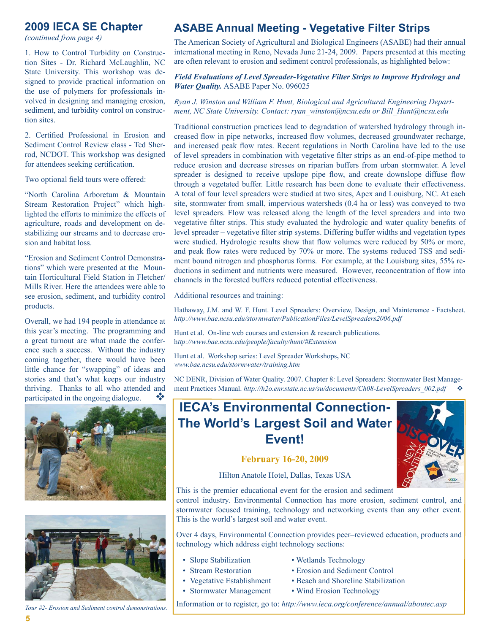### <span id="page-4-0"></span>**2009 IECA SE Chapter**

*(continued from page 4)*

1. How to Control Turbidity on Construction Sites - Dr. Richard McLaughlin, NC State University. This workshop was designed to provide practical information on the use of polymers for professionals involved in designing and managing erosion, sediment, and turbidity control on construction sites.

2. Certified Professional in Erosion and Sediment Control Review class - Ted Sherrod, NCDOT. This workshop was designed for attendees seeking certification.

Two optional field tours were offered:

"North Carolina Arboretum & Mountain Stream Restoration Project" which highlighted the efforts to minimize the effects of agriculture, roads and development on destabilizing our streams and to decrease erosion and habitat loss.

"Erosion and Sediment Control Demonstrations" which were presented at the Mountain Horticultural Field Station in Fletcher/ Mills River. Here the attendees were able to see erosion, sediment, and turbidity control products.

Overall, we had 194 people in attendance at this year's meeting. The programming and a great turnout are what made the conference such a success. Without the industry coming together, there would have been little chance for "swapping" of ideas and stories and that's what keeps our industry thriving. Thanks to all who attended and participated in the ongoing dialogue.  $\bullet\bullet$ 





*Tour #2- Erosion and Sediment control demonstrations.*

### **ASABE Annual Meeting - Vegetative Filter Strips**

The American Society of Agricultural and Biological Engineers (ASABE) had their annual international meeting in Reno, Nevada June 21-24, 2009. Papers presented at this meeting are often relevant to erosion and sediment control professionals, as highlighted below:

#### *Field Evaluations of Level Spreader-Vegetative Filter Strips to Improve Hydrology and Water Quality.* ASABE Paper No. 096025

*Ryan J. Winston and William F. Hunt, Biological and Agricultural Engineering Department, NC State University. Contact: ryan\_winston@ncsu.edu or Bill\_Hunt@ncsu.edu*

Traditional construction practices lead to degradation of watershed hydrology through increased flow in pipe networks, increased flow volumes, decreased groundwater recharge, and increased peak flow rates. Recent regulations in North Carolina have led to the use of level spreaders in combination with vegetative filter strips as an end-of-pipe method to reduce erosion and decrease stresses on riparian buffers from urban stormwater. A level spreader is designed to receive upslope pipe flow, and create downslope diffuse flow through a vegetated buffer. Little research has been done to evaluate their effectiveness. A total of four level spreaders were studied at two sites, Apex and Louisburg, NC. At each site, stormwater from small, impervious watersheds (0.4 ha or less) was conveyed to two level spreaders. Flow was released along the length of the level spreaders and into two vegetative filter strips. This study evaluated the hydrologic and water quality benefits of level spreader – vegetative filter strip systems. Differing buffer widths and vegetation types were studied. Hydrologic results show that flow volumes were reduced by 50% or more, and peak flow rates were reduced by 70% or more. The systems reduced TSS and sediment bound nitrogen and phosphorus forms. For example, at the Louisburg sites, 55% reductions in sediment and nutrients were measured. However, reconcentration of flow into channels in the forested buffers reduced potential effectiveness.

Additional resources and training:

Hathaway, J.M. and W. F. Hunt. Level Spreaders: Overview, Design, and Maintenance - Factsheet. *http://www.bae.ncsu.edu/stormwater/PublicationFiles/LevelSpreaders2006.pdf*

Hunt et al. On-line web courses and extension & research publications. h*[ttp://www.bae.ncsu.edu/people/faculty/hunt/#Extension](http://www.bae.ncsu.edu/people/faculty/hunt/#Extension)*

Hunt et al. Workshop series: Level Spreader Workshops**,** NC *[www.bae.ncsu.edu/stormwater/training.htm](http://www.bae.ncsu.edu/stormwater/training.htm)*

NC DENR, Division of Water Quality. 2007. Chapter 8: Level Spreaders: Stormwater Best Management Practices Manual. *http://h2o.enr.state.nc.us/su/documents/Ch08-LevelSpreaders\_002.pdf* v

## **IECA's Environmental Connection-The World's Largest Soil and Water Event!**

#### **February 16-20, 2009**

Hilton Anatole Hotel, Dallas, Texas USA



Over 4 days, Environmental Connection provides peer–reviewed education, products and technology which address eight technology sections:

- 
- 
- 
- Stormwater Management Wind Erosion Technology
- Slope Stabilization Wetlands Technology
- Stream Restoration Erosion and Sediment Control
- Vegetative Establishment Beach and Shoreline Stabilization
	-



Information or to register, go to: *<http://www.ieca.org/conference/annual/aboutec.asp>*